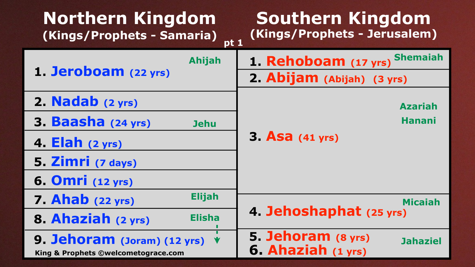## **Southern Kingdom ets - Jerusalem)**

# bijah) (3 yrs)

| Northern Kingdom<br>(Kings/Prophets - Samaria)<br>pt <sub>1</sub>                      | Southern Kingdom<br>(Kings/Prophets - Jerusalem)            |  |
|----------------------------------------------------------------------------------------|-------------------------------------------------------------|--|
| <b>Ahijah</b>                                                                          | 1. Rehoboam (17 yrs) Shemaiah                               |  |
| 1. Jeroboam (22 yrs)                                                                   | 2. Abijam (Abijah) (3 yrs)                                  |  |
| 2. Nadab (2 yrs)                                                                       | <b>Azariah</b>                                              |  |
| 3. Baasha (24 yrs)<br><b>Jehu</b>                                                      | <b>Hanani</b>                                               |  |
| 4. $Elah (2 yrs)$                                                                      | <b>3. Asa</b> (41 yrs)                                      |  |
| 5. Zimri (7 days)                                                                      |                                                             |  |
| 6. Omri (12 yrs)                                                                       |                                                             |  |
| <b>Elijah</b><br><b>7. Ahab</b> (22 yrs)                                               | <b>Micaiah</b>                                              |  |
| 8. Ahaziah (2 yrs)<br><b>Elisha</b>                                                    | 4. Jehoshaphat (25 yrs)                                     |  |
| 9. Jehoram (Joram) $(12 \text{ yrs})$ $\forall$<br>King & Prophets ©welcometograce.com | 5. Jehoram (8 yrs)<br><b>Jahaziel</b><br>6. Ahaziah (1 yrs) |  |

# **5. Jehoram (8 yrs)**

# **Azariah**

# **4. Micaiah**<br>**4. Inat** (25 yrs)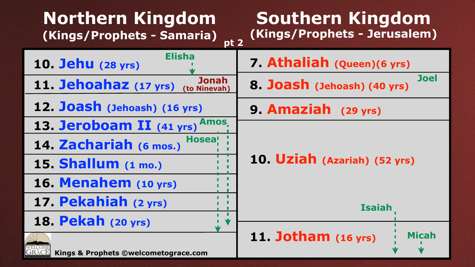### **Kingdom (Kings/Prophets - Jerusalem)**

| <b>Northern Kingdom</b><br>(Kings/Prophets - Samaria)<br>pt <sub>2</sub> | Southern<br>(Kings/Prophe |
|--------------------------------------------------------------------------|---------------------------|
| <b>Elisha</b><br>10. Jehu (28 yrs)                                       | 7. Athaliah (             |
| <b>Jonah</b><br>11. Jehoahaz (17 yrs) (to Ninevah)                       | 8. Joash (Jeho            |
| 12. Joash (Jehoash) (16 yrs)                                             | 9. Amaziah                |
| 13. Jeroboam II (41 yrs) Amos.                                           |                           |
| <b>Hosea!</b><br>14. Zachariah (6 mos.)                                  |                           |
| 15. Shallum (1 mo.)                                                      | 10. Uziah (Az             |
| 16. Menahem (10 yrs)                                                     |                           |
| 17. Pekahiah (2 yrs)                                                     |                           |
| 18. Pekah (20 yrs)                                                       |                           |
| Kings & Prophets ©welcometograce.com                                     | 11. Jotham (              |

#### **9. Amaziah (29 yrs)**

#### **10. Uziah (Azariah) (52 yrs)**



#### **7. Athaliah (Queen)(6 yrs) 8. Joseph (40 yrs) Joel**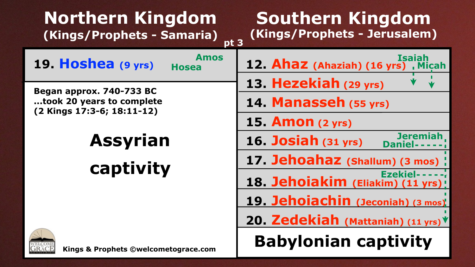

| Northern Kingdom<br>(Kings/Prophets - Samaria)<br>pt <sub>3</sub> | Southerr<br>(Kings/Proph |
|-------------------------------------------------------------------|--------------------------|
| <b>Amos</b><br>19. Hoshea (9 yrs)<br><b>Hosea</b>                 | 12. Ahaz (Aha            |
| Began approx. 740-733 BC                                          | 13. Hezekiał             |
| took 20 years to complete                                         | 14. Manasse              |
| (2 Kings 17:3-6; 18:11-12)                                        | 15. Amon (2 y            |
| <b>Assyrian</b>                                                   | 16. Josiah (3)           |
| captivity                                                         | 17. Jehoaha:             |
|                                                                   | 18. Jehoiaki             |
|                                                                   | 19. Jehoiach             |
|                                                                   | 20. Zedekiał             |
| Kings & Prophets ©welcometograce.com                              | <b>Babylonia</b>         |

## **Southern Kingdom (Kings/Prophets - Jerusalem)**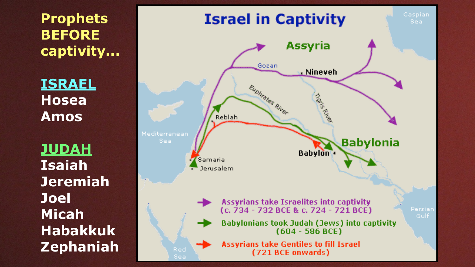**Prophets BEFORE captivity...** 

**ISRAEL Hosea Amos** 

**JUDAH Isaiah Jeremiah Joel Micah Habakkuk Zephaniah** 



Caspian Sea

#### **Babylonia**

Persian<sup>1</sup> Gulf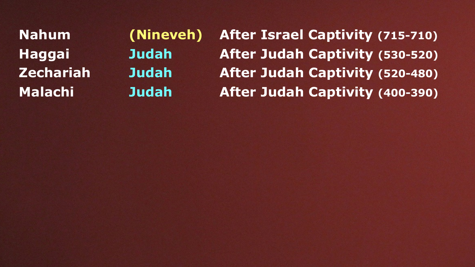**Nahum Haggai Zechariah Malachi**

**(Nineveh) Judah Judah Judah**

**After Israel Captivity (715-710) After Judah Captivity (530-520) After Judah Captivity (520-480) After Judah Captivity (400-390)**